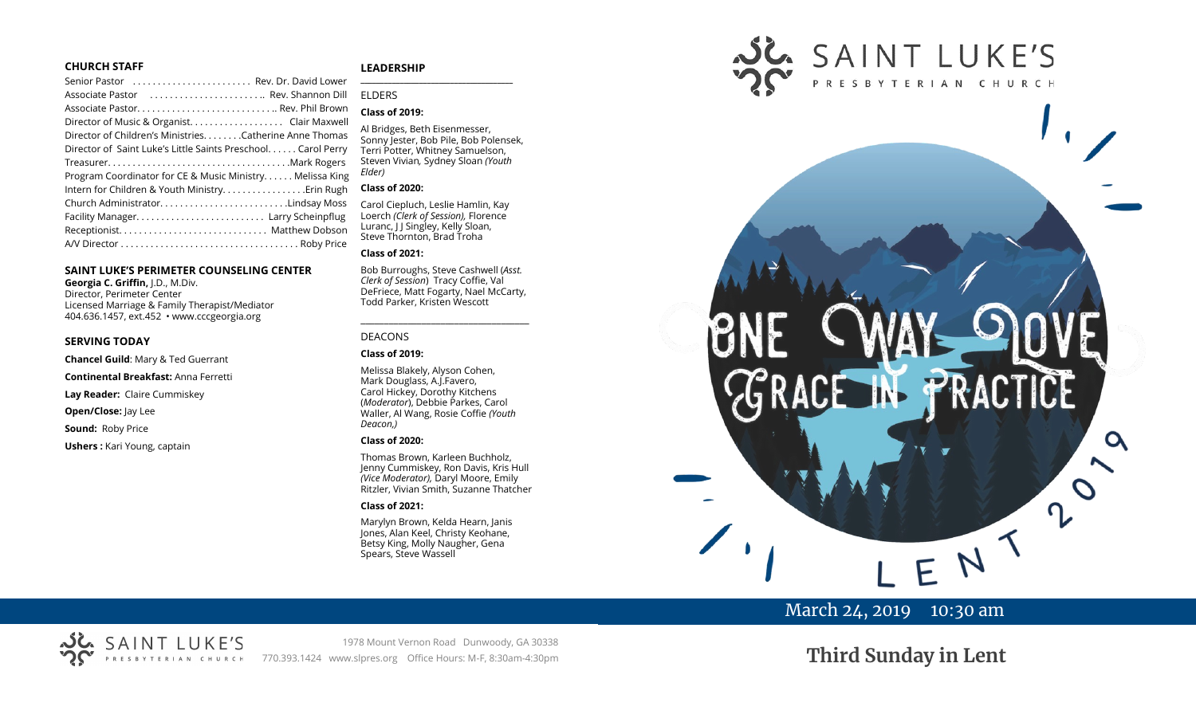#### **CHURCH STAFF**

| Senior Pastor  Rev. Dr. David Lower                          |  |
|--------------------------------------------------------------|--|
| Associate Pastor  Rev. Shannon Dill                          |  |
| Associate Pastor Rev. Phil Brown                             |  |
|                                                              |  |
| Director of Children's Ministries. Catherine Anne Thomas     |  |
| Director of Saint Luke's Little Saints Preschool Carol Perry |  |
|                                                              |  |
| Program Coordinator for CE & Music Ministry Melissa King     |  |
|                                                              |  |
| Church AdministratorLindsay Moss                             |  |
| Facility Manager Larry Scheinpflug                           |  |
|                                                              |  |
|                                                              |  |

#### **SAINT LUKE'S PERIMETER COUNSELING CENTER**

**Georgia C. Griffin,** J.D., M.Div. Director, Perimeter Center Licensed Marriage & Family Therapist/Mediator 404.636.1457, ext.452 • www.cccgeorgia.org

#### **SERVING TODAY**

**Chancel Guild**: Mary & Ted Guerrant

**Continental Breakfast:** Anna Ferretti

**Lay Reader:** Claire Cummiskey

**Open/Close:** Jay Lee

**Sound:** Roby Price

**Ushers :** Kari Young, captain

#### **LEADERSHIP**

#### ELDERS

#### **Class of 2019:**

Al Bridges, Beth Eisenmesser, Sonny Jester, Bob Pile, Bob Polensek, Terri Potter, Whitney Samuelson, Steven Vivian*,* Sydney Sloan *(Youth Elder)*

**\_\_\_\_\_\_\_\_\_\_\_\_\_\_\_\_\_\_\_\_\_\_\_\_\_\_\_\_\_\_\_\_\_\_\_\_\_\_\_**

#### **Class of 2020:**

Carol Ciepluch, Leslie Hamlin, Kay Loerch *(Clerk of Session),* Florence Luranc, J J Singley, Kelly Sloan, Steve Thornton, Brad Troha

#### **Class of 2021:**

Bob Burroughs, Steve Cashwell (*Asst. Clerk of Session*) Tracy Coffie, Val DeFriece, Matt Fogarty, Nael McCarty, Todd Parker, Kristen Wescott

\_\_\_\_\_\_\_\_\_\_\_\_\_\_\_\_\_\_\_\_\_\_\_\_\_\_\_\_\_\_\_\_\_\_\_\_

#### DEACONS

**Class of 2019:**

Melissa Blakely, Alyson Cohen, Mark Douglass, A.J.Favero, Carol Hickey, Dorothy Kitchens (*Moderator*), Debbie Parkes, Carol Waller, Al Wang, Rosie Coffie *(Youth Deacon,)* 

#### **Class of 2020:**

Thomas Brown, Karleen Buchholz, Jenny Cummiskey, Ron Davis, Kris Hull *(Vice Moderator),* Daryl Moore, Emily Ritzler, Vivian Smith, Suzanne Thatcher

#### **Class of 2021:**

Marylyn Brown, Kelda Hearn, Janis Jones, Alan Keel, Christy Keohane, Betsy King, Molly Naugher, Gena Spears, Steve Wassell



## March 24, 2019 10:30 am

# **Third Sunday in Lent**

1978 Mount Vernon Road Dunwoody, GA 30338 770.393.1424 www.slpres.org Office Hours: M-F, 8:30am-4:30pm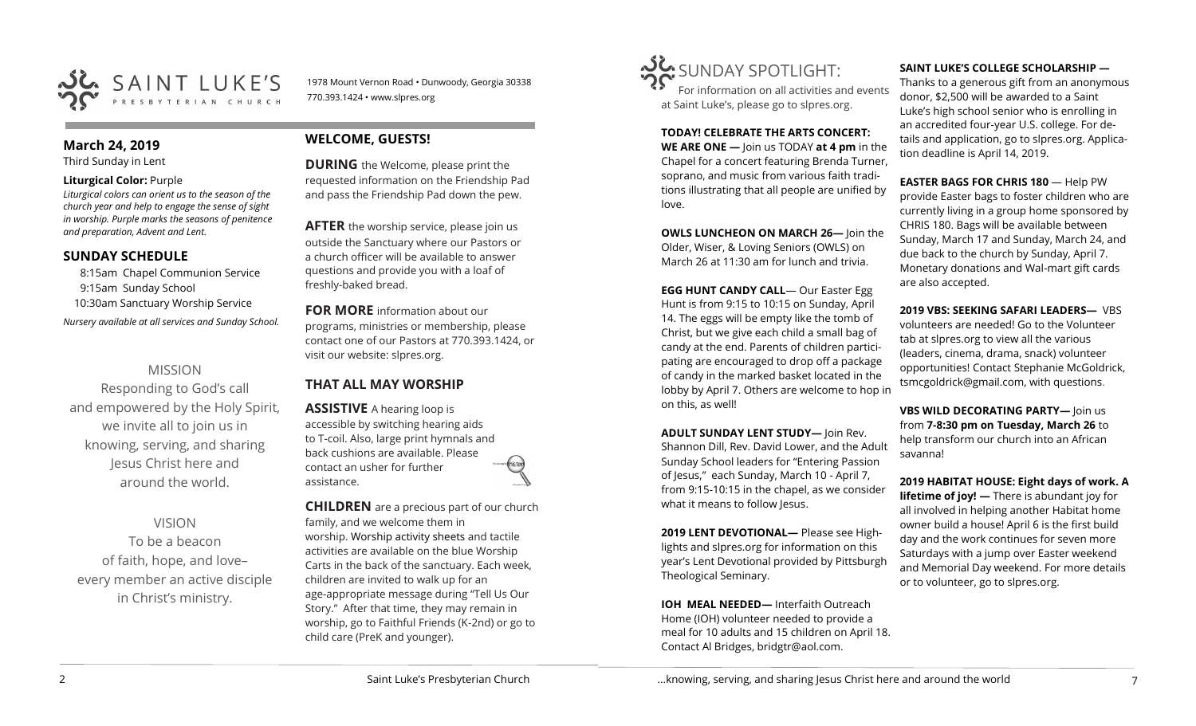

1978 Mount Vernon Road • Dunwoody, Georgia 30338 770.393.1424 • www.slpres.org

#### **March 24, 2019**

Third Sunday in Lent

#### **Liturgical Color:** Purple

*Liturgical colors can orient us to the season of the church year and help to engage the sense of sight in worship. Purple marks the seasons of penitence and preparation, Advent and Lent.*

## **SUNDAY SCHEDULE**

8:15am Chapel Communion Service 9:15am Sunday School 10:30am Sanctuary Worship Service *Nursery available at all services and Sunday School.* 

## MISSION

Responding to God's call and empowered by the Holy Spirit, we invite all to join us in knowing, serving, and sharing Jesus Christ here and around the world.

## VISION

To be a beacon of faith, hope, and love– every member an active disciple in Christ's ministry.

## **WELCOME, GUESTS!**

**DURING** the Welcome, please print the requested information on the Friendship Pad and pass the Friendship Pad down the pew.

**AFTER** the worship service, please join us outside the Sanctuary where our Pastors or a church officer will be available to answer questions and provide you with a loaf of freshly-baked bread.

**FOR MORE** information about our programs, ministries or membership, please contact one of our Pastors at 770.393.1424, or visit our website: slpres.org.

## **THAT ALL MAY WORSHIP**

**ASSISTIVE** A hearing loop is accessible by switching hearing aids to T-coil. Also, large print hymnals and back cushions are available. Please contact an usher for further assistance.

**CHILDREN** are a precious part of our church family, and we welcome them in worship. Worship activity sheets and tactile activities are available on the blue Worship Carts in the back of the sanctuary. Each week, children are invited to walk up for an age-appropriate message during "Tell Us Our Story." After that time, they may remain in worship, go to Faithful Friends (K-2nd) or go to child care (PreK and younger).



For information on all activities and events at Saint Luke's, please go to slpres.org.

**TODAY! CELEBRATE THE ARTS CONCERT:** 

**WE ARE ONE —** Join us TODAY **at 4 pm** in the Chapel for a concert featuring Brenda Turner, soprano, and music from various faith traditions illustrating that all people are unified by love.

**OWLS LUNCHEON ON MARCH 26—** Join the Older, Wiser, & Loving Seniors (OWLS) on March 26 at 11:30 am for lunch and trivia.

**EGG HUNT CANDY CALL**— Our Easter Egg Hunt is from 9:15 to 10:15 on Sunday, April 14. The eggs will be empty like the tomb of Christ, but we give each child a small bag of candy at the end. Parents of children participating are encouraged to drop off a package of candy in the marked basket located in the lobby by April 7. Others are welcome to hop in on this, as well!

**ADULT SUNDAY LENT STUDY—** Join Rev. Shannon Dill, Rev. David Lower, and the Adult Sunday School leaders for "Entering Passion of Jesus," each Sunday, March 10 - April 7, from 9:15-10:15 in the chapel, as we consider what it means to follow Jesus.

**2019 LENT DEVOTIONAL—** Please see Highlights and slpres.org for information on this year's Lent Devotional provided by Pittsburgh Theological Seminary.

**IOH MEAL NEEDED—** Interfaith Outreach Home (IOH) volunteer needed to provide a meal for 10 adults and 15 children on April 18. Contact Al Bridges, bridgtr@aol.com.

## **SAINT LUKE'S COLLEGE SCHOLARSHIP —**

Thanks to a generous gift from an anonymous donor, \$2,500 will be awarded to a Saint Luke's high school senior who is enrolling in an accredited four-year U.S. college. For details and application, go to slpres.org. Application deadline is April 14, 2019.

**EASTER BAGS FOR CHRIS 180** — Help PW provide Easter bags to foster children who are currently living in a group home sponsored by CHRIS 180. Bags will be available between Sunday, March 17 and Sunday, March 24, and due back to the church by Sunday, April 7. Monetary donations and Wal-mart gift cards are also accepted.

**2019 VBS: SEEKING SAFARI LEADERS—** VBS volunteers are needed! Go to the Volunteer tab at slpres.org to view all the various (leaders, cinema, drama, snack) volunteer opportunities! Contact Stephanie McGoldrick, tsmcgoldrick@gmail.com, with questions.

**VBS WILD DECORATING PARTY—** Join us from **7-8:30 pm on Tuesday, March 26** to help transform our church into an African savanna!

**2019 HABITAT HOUSE: Eight days of work. A lifetime of joy!** — There is abundant joy for all involved in helping another Habitat home owner build a house! April 6 is the first build day and the work continues for seven more Saturdays with a jump over Easter weekend and Memorial Day weekend. For more details or to volunteer, go to slpres.org.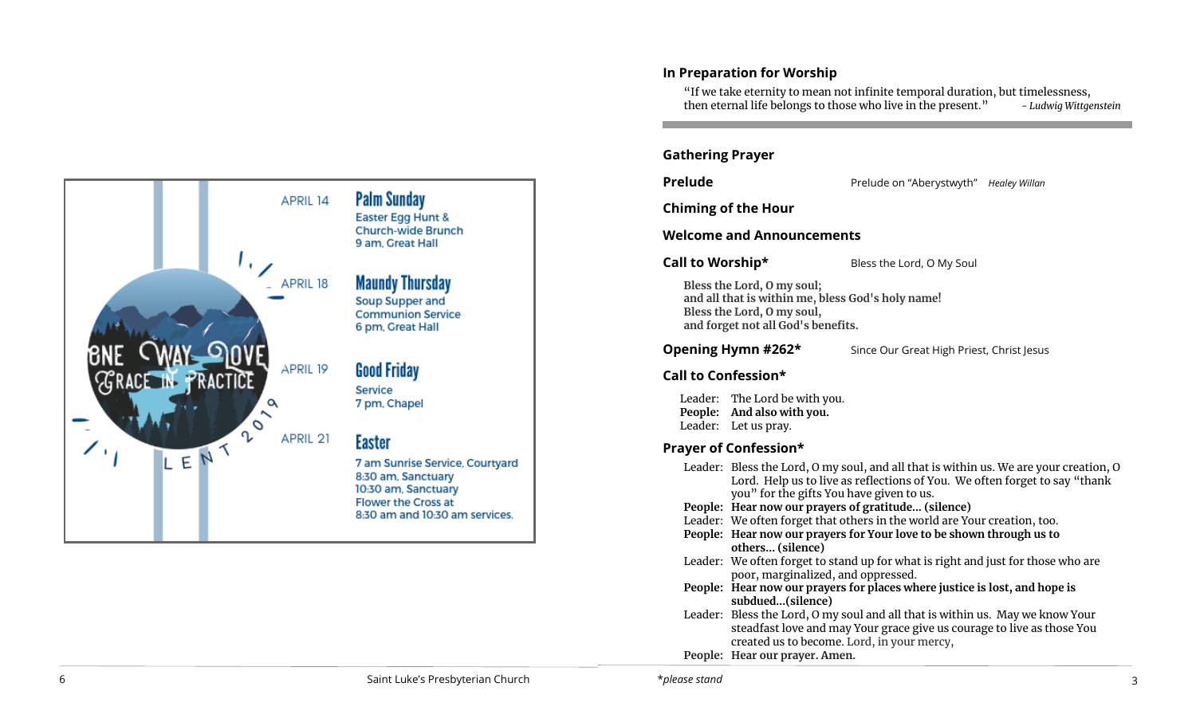

## **In Preparation for Worship**

"If we take eternity to mean not infinite temporal duration, but timelessness, then eternal life belongs to those who live in the present. " *- Ludwig Wittgenstein*

## **Gathering Prayer**

**Prelude Prelude on "Aberystwyth"** *Healey Willan* 

 $\overline{1}$ 

**Chiming of the Hour**

## **Welcome and Announcements**

**Call to Worship\*** Bless the Lord, O My Soul

**Bless the Lord, O my soul; and all that is within me, bless God's holy name! Bless the Lord, O my soul, and forget not all God's benefits.**

**Opening Hymn #262\*** Since Our Great High Priest, Christ Jesus

## **Call to Confession\***

Leader: The Lord be with you. **People: And also with you.**  Leader: Let us pray.

## **Prayer of Confession\***

|  | Leader: Bless the Lord, O my soul, and all that is within us. We are your creation, O<br>Lord. Help us to live as reflections of You. We often forget to say "thank                                   |
|--|-------------------------------------------------------------------------------------------------------------------------------------------------------------------------------------------------------|
|  | you" for the gifts You have given to us.                                                                                                                                                              |
|  | People: Hear now our prayers of gratitude (silence)                                                                                                                                                   |
|  | Leader: We often forget that others in the world are Your creation, too.                                                                                                                              |
|  | People: Hear now our prayers for Your love to be shown through us to<br>others (silence)                                                                                                              |
|  | Leader: We often forget to stand up for what is right and just for those who are<br>poor, marginalized, and oppressed.                                                                                |
|  | People: Hear now our prayers for places where justice is lost, and hope is<br>subdued(silence)                                                                                                        |
|  | Leader: Bless the Lord, O my soul and all that is within us. May we know Your<br>steadfast love and may Your grace give us courage to live as those You<br>created us to become. Lord, in your mercy, |
|  | People: Hear our prayer. Amen.                                                                                                                                                                        |
|  |                                                                                                                                                                                                       |